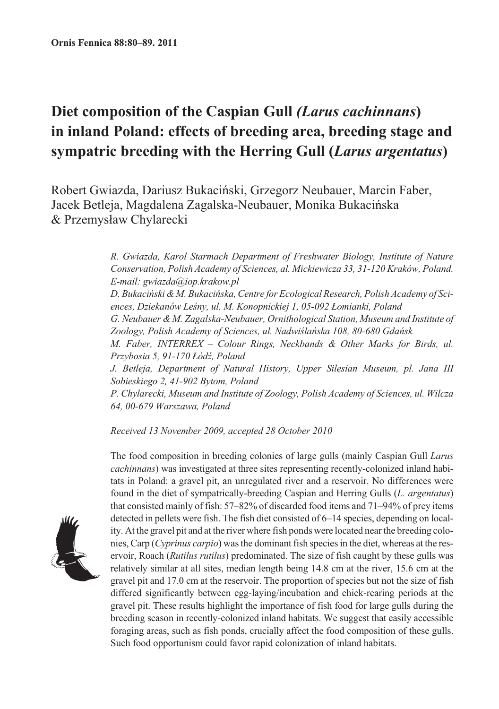# Diet composition of the Caspian Gull (Larus cachinnans) in inland Poland: effects of breeding area, breeding stage and sympatric breeding with the Herring Gull (Larus argentatus)

Robert Gwiazda, Dariusz Bukaciński, Grzegorz Neubauer, Marcin Faber, Jacek Betleja, Magdalena Zagalska-Neubauer, Monika Bukacińska & Przemysław Chylarecki

> R. Gwiazda, Karol Starmach Department of Freshwater Biology, Institute of Nature Conservation, Polish Academy of Sciences, al. Mickiewicza 33, 31-120 Kraków, Poland. E-mail: gwiazda@iop.krakow.pl D. Bukaciński & M. Bukacińska, Centre for Ecological Research, Polish Academy of Sciences, Dziekanów Leśny, ul. M. Konopnickiej 1, 05-092 Łomianki, Poland G. Neubauer & M. Zagalska-Neubauer, Ornithological Station, Museum and Institute of Zoology, Polish Academy of Sciences, ul. Nadwiślańska 108, 80-680 Gdańsk M. Faber, INTERREX - Colour Rings, Neckbands & Other Marks for Birds, ul. Przybosia 5, 91-170 Łódź, Poland J. Betleja, Department of Natural History, Upper Silesian Museum, pl. Jana III Sobieskiego 2, 41-902 Bytom, Poland

> P. Chylarecki, Museum and Institute of Zoology, Polish Academy of Sciences, ul. Wilcza 64, 00-679 Warszawa, Poland

Received 13 November 2009, accepted 28 October 2010



The food composition in breeding colonies of large gulls (mainly Caspian Gull Larus cachinnans) was investigated at three sites representing recently-colonized inland habitats in Poland: a gravel pit, an unregulated river and a reservoir. No differences were found in the diet of sympatrically-breeding Caspian and Herring Gulls (*L. argentatus*) that consisted mainly of fish:  $57-82\%$  of discarded food items and  $71-94\%$  of prey items detected in pellets were fish. The fish diet consisted of 6–14 species, depending on locality. At the gravel pit and at the river where fish ponds were located near the breeding colonies, Carp (Cyprinus carpio) was the dominant fish species in the diet, whereas at the reservoir, Roach (Rutilus rutilus) predominated. The size of fish caught by these gulls was relatively similar at all sites, median length being 14.8 cm at the river, 15.6 cm at the gravel pit and 17.0 cm at the reservoir. The proportion of species but not the size of fish differed significantly between egg-laying/incubation and chick-rearing periods at the gravel pit. These results highlight the importance of fish food for large gulls during the breeding season in recently-colonized inland habitats. We suggest that easily accessible foraging areas, such as fish ponds, crucially affect the food composition of these gulls. Such food opportunism could favor rapid colonization of inland habitats.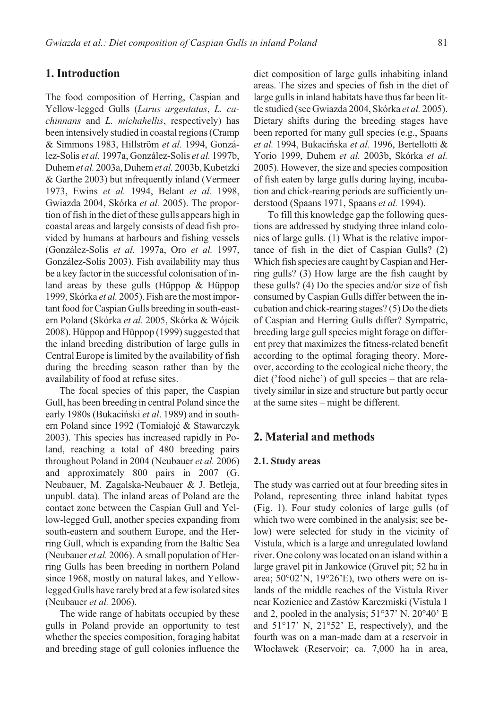# 1. Introduction

The food composition of Herring, Caspian and Yellow-legged Gulls (Larus argentatus, L. ca*chinnans* and *L. michahellis*, respectively) has been intensively studied in coastal regions (Cramp & Simmons 1983, Hillström et al. 1994, González-Solis et al. 1997a. González-Solis et al. 1997b. Duhem et al. 2003a, Duhem et al. 2003b, Kubetzki & Garthe 2003) but infrequently inland (Vermeer 1973, Ewins et al. 1994, Belant et al. 1998, Gwiazda 2004, Skórka et al. 2005). The proportion of fish in the diet of these gulls appears high in coastal areas and largely consists of dead fish provided by humans at harbours and fishing vessels (González-Solis et al. 1997a, Oro et al. 1997, González-Solis 2003). Fish availability may thus be a key factor in the successful colonisation of inland areas by these gulls (Hüppop & Hüppop 1999, Skórka et al. 2005). Fish are the most important food for Caspian Gulls breeding in south-eastern Poland (Skórka et al. 2005, Skórka & Wójcik 2008). Hüppop and Hüppop (1999) suggested that the inland breeding distribution of large gulls in Central Europe is limited by the availability of fish during the breeding season rather than by the availability of food at refuse sites.

The focal species of this paper, the Caspian Gull, has been breeding in central Poland since the early 1980s (Bukaciński et al. 1989) and in southern Poland since 1992 (Tomiałojć & Stawarczyk 2003). This species has increased rapidly in Poland, reaching a total of 480 breeding pairs throughout Poland in 2004 (Neubauer et al. 2006) and approximately 800 pairs in 2007 (G. Neubauer, M. Zagalska-Neubauer & J. Betleja, unpubl. data). The inland areas of Poland are the contact zone between the Caspian Gull and Yellow-legged Gull, another species expanding from south-eastern and southern Europe, and the Herring Gull, which is expanding from the Baltic Sea (Neubauer et al. 2006). A small population of Herring Gulls has been breeding in northern Poland since 1968, mostly on natural lakes, and Yellowlegged Gulls have rarely bred at a few isolated sites (Neubauer et al. 2006).

The wide range of habitats occupied by these gulls in Poland provide an opportunity to test whether the species composition, foraging habitat and breeding stage of gull colonies influence the diet composition of large gulls inhabiting inland areas. The sizes and species of fish in the diet of large gulls in inland habitats have thus far been little studied (see Gwiazda 2004, Skórka et al. 2005). Dietary shifts during the breeding stages have been reported for many gull species (e.g., Spaans et al. 1994, Bukacińska et al. 1996, Bertellotti & Yorio 1999, Duhem et al. 2003b, Skórka et al. 2005). However, the size and species composition of fish eaten by large gulls during laying, incubation and chick-rearing periods are sufficiently understood (Spaans 1971, Spaans et al. 1994).

To fill this knowledge gap the following questions are addressed by studying three inland colonies of large gulls. (1) What is the relative importance of fish in the diet of Caspian Gulls? (2) Which fish species are caught by Caspian and Herring gulls? (3) How large are the fish caught by these gulls? (4) Do the species and/or size of fish consumed by Caspian Gulls differ between the incubation and chick-rearing stages? (5) Do the diets of Caspian and Herring Gulls differ? Sympatric, breeding large gull species might forage on different prey that maximizes the fitness-related benefit according to the optimal foraging theory. Moreover, according to the ecological niche theory, the diet ('food niche') of gull species – that are relatively similar in size and structure but partly occur at the same sites – might be different.

## 2. Material and methods

#### 2.1. Study areas

The study was carried out at four breeding sites in Poland, representing three inland habitat types (Fig. 1). Four study colonies of large gulls (of which two were combined in the analysis; see below) were selected for study in the vicinity of Vistula, which is a large and unregulated lowland river. One colony was located on an island within a large gravel pit in Jankowice (Gravel pit; 52 ha in area;  $50^{\circ}02^{\prime}$ N,  $19^{\circ}26^{\prime}$ E), two others were on islands of the middle reaches of the Vistula River near Kozienice and Zastów Karczmiski (Vistula 1 and 2, pooled in the analysis;  $51°37'$  N,  $20°40'$  E and  $51^{\circ}17'$  N,  $21^{\circ}52'$  E, respectively), and the fourth was on a man-made dam at a reservoir in Włocławek (Reservoir; ca. 7,000 ha in area,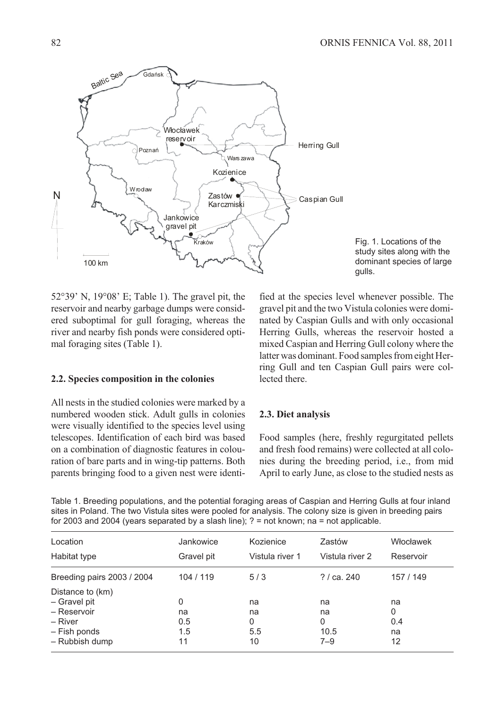

Fig. 1. Locations of the study sites along with the dominant species of large qulls.

 $52^{\circ}39'$  N,  $19^{\circ}08'$  E; Table 1). The gravel pit, the reservoir and nearby garbage dumps were considered suboptimal for gull foraging, whereas the river and nearby fish ponds were considered optimal foraging sites (Table 1).

#### 2.2. Species composition in the colonies

All nests in the studied colonies were marked by a numbered wooden stick. Adult gulls in colonies were visually identified to the species level using telescopes. Identification of each bird was based on a combination of diagnostic features in colouration of bare parts and in wing-tip patterns. Both parents bringing food to a given nest were identified at the species level whenever possible. The gravel pit and the two Vistula colonies were dominated by Caspian Gulls and with only occasional Herring Gulls, whereas the reservoir hosted a mixed Caspian and Herring Gull colony where the latter was dominant. Food samples from eight Herring Gull and ten Caspian Gull pairs were collected there.

#### 2.3. Diet analysis

Food samples (here, freshly regurgitated pellets and fresh food remains) were collected at all colonies during the breeding period, i.e., from mid April to early June, as close to the studied nests as

Table 1. Breeding populations, and the potential foraging areas of Caspian and Herring Gulls at four inland sites in Poland. The two Vistula sites were pooled for analysis. The colony size is given in breeding pairs for 2003 and 2004 (years separated by a slash line);  $? = \text{not known}$ ;  $na = \text{not applicable}$ .

| Location                   | Jankowice  | Kozienice       | Zastów          | Włocławek |  |
|----------------------------|------------|-----------------|-----------------|-----------|--|
|                            |            |                 |                 |           |  |
| Habitat type               | Gravel pit | Vistula river 1 | Vistula river 2 | Reservoir |  |
| Breeding pairs 2003 / 2004 | 104 / 119  | 5/3             | ? / ca. 240     | 157 / 149 |  |
| Distance to (km)           |            |                 |                 |           |  |
| - Gravel pit               | 0          | na              | na              | na        |  |
| - Reservoir                | na         | na              | na              | 0         |  |
| – River                    | 0.5        | 0               | 0               | 0.4       |  |
| - Fish ponds               | 1.5        | 5.5             | 10.5            | na        |  |
| - Rubbish dump             | 11         | 10              | $7 - 9$         | 12        |  |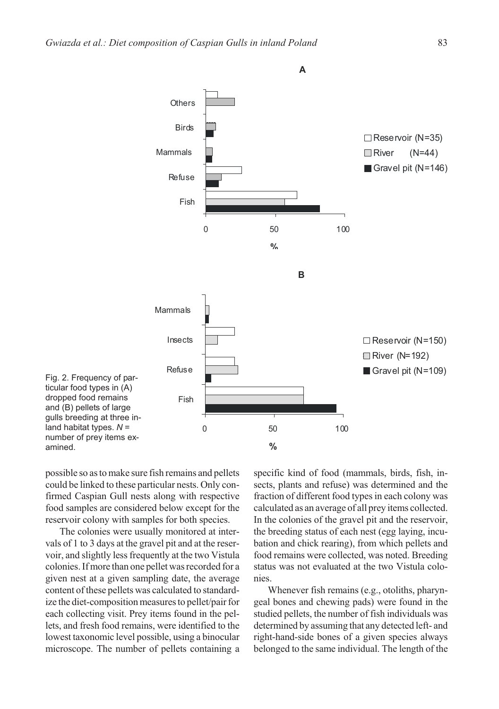

possible so as to make sure fish remains and pellets could be linked to these particular nests. Only confirmed Caspian Gull nests along with respective food samples are considered below except for the reservoir colony with samples for both species.

amined.

The colonies were usually monitored at intervals of 1 to 3 days at the gravel pit and at the reservoir, and slightly less frequently at the two Vistula colonies. If more than one pellet was recorded for a given nest at a given sampling date, the average content of these pellets was calculated to standardize the diet-composition measures to pellet/pair for each collecting visit. Prey items found in the pellets, and fresh food remains, were identified to the lowest taxonomic level possible, using a binocular microscope. The number of pellets containing a

specific kind of food (mammals, birds, fish, insects, plants and refuse) was determined and the fraction of different food types in each colony was calculated as an average of all prey items collected. In the colonies of the gravel pit and the reservoir, the breeding status of each nest (egg laying, incubation and chick rearing), from which pellets and food remains were collected, was noted. Breeding status was not evaluated at the two Vistula colonies.

Whenever fish remains (e.g., otoliths, pharyngeal bones and chewing pads) were found in the studied pellets, the number of fish individuals was determined by assuming that any detected left- and right-hand-side bones of a given species always belonged to the same individual. The length of the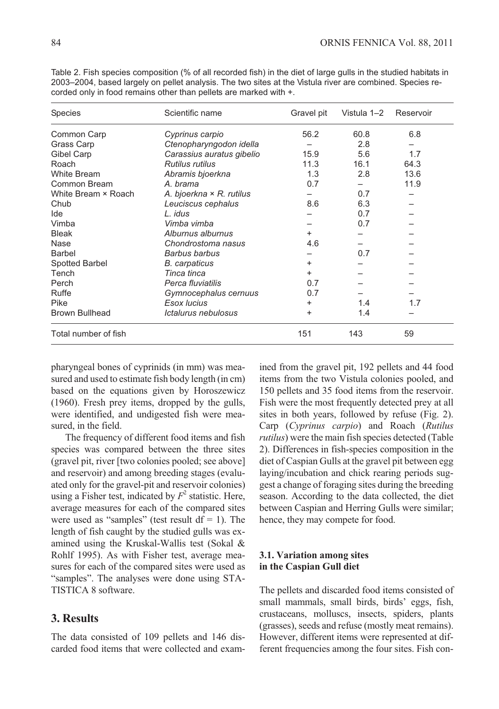| <b>Species</b>        | Scientific name                 | Gravel pit | Vistula 1-2 | Reservoir |
|-----------------------|---------------------------------|------------|-------------|-----------|
| Common Carp           | Cyprinus carpio                 | 56.2       | 60.8        | 6.8       |
| Grass Carp            | Ctenopharyngodon idella         |            | 2.8         |           |
| Gibel Carp            | Carassius auratus gibelio       | 15.9       | 5.6         | 1.7       |
| Roach                 | Rutilus rutilus                 | 11.3       | 16.1        | 64.3      |
| <b>White Bream</b>    | Abramis bjoerkna                | 1.3        | 2.8         | 13.6      |
| Common Bream          | A. brama                        | 0.7        |             | 11.9      |
| White Bream × Roach   | A. bjoerkna $\times$ R. rutilus |            | 0.7         |           |
| Chub                  | Leuciscus cephalus              | 8.6        | 6.3         |           |
| Ide                   | L. <i>idus</i>                  |            | 0.7         |           |
| Vimba                 | Vimba vimba                     |            | 0.7         |           |
| <b>Bleak</b>          | Alburnus alburnus               | $\ddot{}$  |             |           |
| Nase                  | Chondrostoma nasus              | 4.6        |             |           |
| <b>Barbel</b>         | Barbus barbus                   |            | 0.7         |           |
| <b>Spotted Barbel</b> | <b>B.</b> carpaticus            | +          |             |           |
| Tench                 | Tinca tinca                     | +          |             |           |
| Perch                 | Perca fluviatilis               | 0.7        |             |           |
| Ruffe                 | Gymnocephalus cernuus           | 0.7        |             |           |
| Pike                  | Esox lucius                     | ٠          | 1.4         | 1.7       |
| <b>Brown Bullhead</b> | Ictalurus nebulosus             | +          | 1.4         |           |
| Total number of fish  |                                 | 151        | 143         | 59        |

Table 2. Fish species composition (% of all recorded fish) in the diet of large gulls in the studied habitats in 2003–2004, based largely on pellet analysis. The two sites at the Vistula river are combined. Species recorded only in food remains other than pellets are marked with +.

pharyngeal bones of cyprinids (in mm) was measured and used to estimate fish body length (in cm) based on the equations given by Horoszewicz  $(1960)$ . Fresh prey items, dropped by the gulls, were identified, and undigested fish were measured, in the field.

The frequency of different food items and fish species was compared between the three sites (gravel pit, river [two colonies pooled; see above] and reservoir) and among breeding stages (evaluated only for the gravel-pit and reservoir colonies) using a Fisher test, indicated by  $F^2$  statistic. Here, average measures for each of the compared sites were used as "samples" (test result  $df = 1$ ). The length of fish caught by the studied gulls was examined using the Kruskal-Wallis test (Sokal & Rohlf 1995). As with Fisher test, average measures for each of the compared sites were used as "samples". The analyses were done using STA-TISTICA 8 software.

# **3. Results**

The data consisted of 109 pellets and 146 discarded food items that were collected and examined from the gravel pit, 192 pellets and 44 food items from the two Vistula colonies pooled, and 150 pellets and 35 food items from the reservoir. Fish were the most frequently detected prey at all sites in both years, followed by refuse (Fig. 2). Carp (Cyprinus carpio) and Roach (Rutilus *rutilus*) were the main fish species detected (Table 2). Differences in fish-species composition in the diet of Caspian Gulls at the gravel pit between egg laying/incubation and chick rearing periods suggest a change of foraging sites during the breeding season. According to the data collected, the diet between Caspian and Herring Gulls were similar; hence, they may compete for food.

## 3.1. Variation among sites in the Caspian Gull diet

The pellets and discarded food items consisted of small mammals, small birds, birds' eggs, fish, crustaceans, molluscs, insects, spiders, plants (grasses), seeds and refuse (mostly meat remains). However, different items were represented at different frequencies among the four sites. Fish con-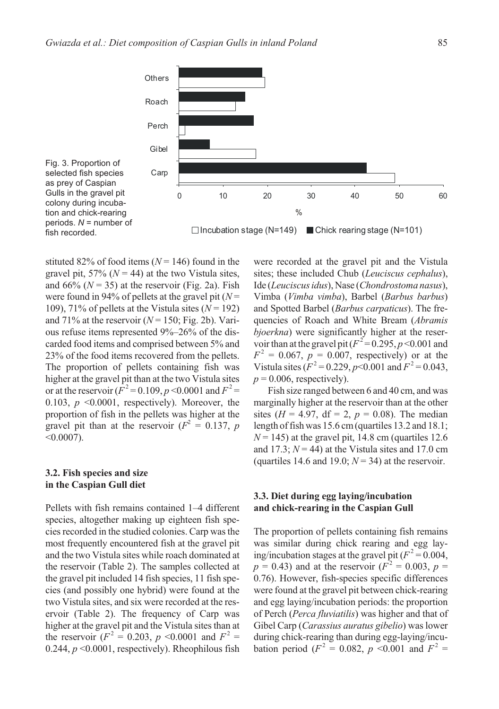

Fig. 3. Proportion of selected fish species as prey of Caspian Gulls in the gravel pit colony during incubation and chick-rearing periods. *N* = number of fish recorded.

stituted 82% of food items  $(N = 146)$  found in the gravel pit, 57% ( $N = 44$ ) at the two Vistula sites, and  $66\%$  ( $N = 35$ ) at the reservoir (Fig. 2a). Fish were found in 94% of pellets at the gravel pit ( $N=$ 109), 71% of pellets at the Vistula sites  $(N = 192)$ and 71% at the reservoir  $(N = 150; Fig. 2b)$ . Various refuse items represented 9%-26% of the discarded food items and comprised between 5% and 23% of the food items recovered from the pellets. The proportion of pellets containing fish was higher at the gravel pit than at the two Vistula sites or at the reservoir ( $F^2 = 0.109, p \le 0.0001$  and  $F^2 =$ 0.103,  $p \leq 0.0001$ , respectively). Moreover, the proportion of fish in the pellets was higher at the gravel pit than at the reservoir ( $F^2 = 0.137$ , p  $<0.0007$ ).

#### 3.2. Fish species and size in the Caspian Gull diet

Pellets with fish remains contained 1-4 different species, altogether making up eighteen fish species recorded in the studied colonies. Carp was the most frequently encountered fish at the gravel pit and the two Vistula sites while roach dominated at the reservoir (Table 2). The samples collected at the gravel pit included 14 fish species, 11 fish species (and possibly one hybrid) were found at the two Vistula sites, and six were recorded at the reservoir (Table 2). The frequency of Carp was higher at the gravel pit and the Vistula sites than at the reservoir  $(F^2 = 0.203, p \le 0.0001$  and  $F^2 =$ 0.244,  $p \le 0.0001$ , respectively). Rheophilous fish

were recorded at the gravel pit and the Vistula sites; these included Chub (*Leuciscus cephalus*), Ide (Leuciscus idus), Nase (Chondrostoma nasus), Vimba (Vimba vimba), Barbel (Barbus barbus) and Spotted Barbel (Barbus carpaticus). The frequencies of Roach and White Bream (Abramis *bjoerkna*) were significantly higher at the reservoir than at the gravel pit ( $F^2$  = 0.295, p < 0.001 and  $F^2 = 0.067$ ,  $p = 0.007$ , respectively) or at the Vistula sites  $(F^2 = 0.229, p<0.001$  and  $F^2 = 0.043,$  $p = 0.006$ , respectively).

Fish size ranged between 6 and 40 cm, and was marginally higher at the reservoir than at the other sites ( $H = 4.97$ , df = 2,  $p = 0.08$ ). The median length of fish was  $15.6$  cm (quartiles  $13.2$  and  $18.1$ ;  $N = 145$ ) at the gravel pit, 14.8 cm (quartiles 12.6 and 17.3;  $N = 44$ ) at the Vistula sites and 17.0 cm (quartiles 14.6 and 19.0;  $N = 34$ ) at the reservoir.

#### 3.3. Diet during egg laying/incubation and chick-rearing in the Caspian Gull

The proportion of pellets containing fish remains was similar during chick rearing and egg laying/incubation stages at the gravel pit ( $F^2 = 0.004$ ,  $p = 0.43$ ) and at the reservoir ( $F^2 = 0.003$ ,  $p =$ 0.76). However, fish-species specific differences were found at the gravel pit between chick-rearing and egg laying/incubation periods: the proportion of Perch (Perca fluviatilis) was higher and that of Gibel Carp (Carassius auratus gibelio) was lower during chick-rearing than during egg-laying/incubation period ( $F^2 = 0.082$ ,  $p \le 0.001$  and  $F^2 =$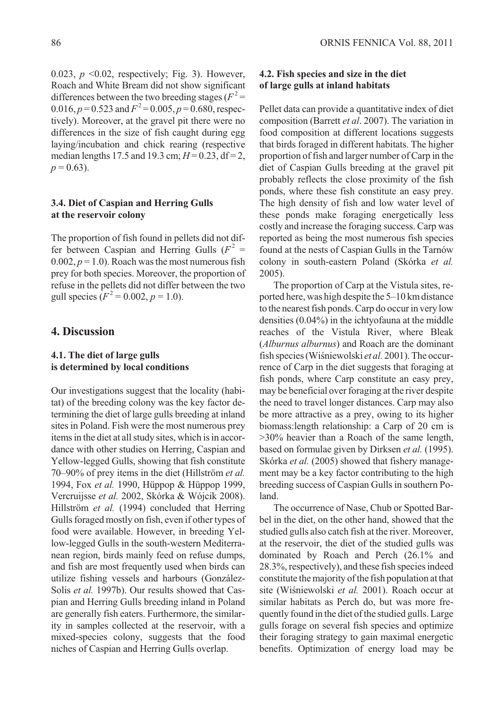0.023,  $p \le 0.02$ , respectively; Fig. 3). However, Roach and White Bream did not show significant differences between the two breeding stages ( $F^2$  = 0.016,  $p = 0.523$  and  $F^2 = 0.005$ ,  $p = 0.680$ , respectively). Moreover, at the gravel pit there were no differences in the size of fish caught during egg laying/incubation and chick rearing (respective median lengths 17.5 and 19.3 cm;  $H = 0.23$ , df = 2,  $p = 0.63$ ).

#### 3.4. Diet of Caspian and Herring Gulls at the reservoir colony

The proportion of fish found in pellets did not differ between Caspian and Herring Gulls ( $F^2$  =  $0.002, p = 1.0$ ). Roach was the most numerous fish prey for both species. Moreover, the proportion of refuse in the pellets did not differ between the two gull species  $(F^2 = 0.002, p = 1.0)$ .

## 4. Discussion

#### 4.1. The diet of large gulls is determined by local conditions

Our investigations suggest that the locality (habitat) of the breeding colony was the key factor determining the diet of large gulls breeding at inland sites in Poland. Fish were the most numerous prey items in the diet at all study sites, which is in accordance with other studies on Herring, Caspian and Yellow-legged Gulls, showing that fish constitute 70–90% of prey items in the diet (Hillström et al. 1994, Fox et al. 1990, Hüppop & Hüppop 1999, Vercruijsse et al. 2002, Skórka & Wójcik 2008). Hillström et al. (1994) concluded that Herring Gulls foraged mostly on fish, even if other types of food were available. However, in breeding Yellow-legged Gulls in the south-western Mediterranean region, birds mainly feed on refuse dumps, and fish are most frequently used when birds can utilize fishing vessels and harbours (González-Solis et al. 1997b). Our results showed that Caspian and Herring Gulls breeding inland in Poland are generally fish eaters. Furthermore, the similarity in samples collected at the reservoir, with a mixed-species colony, suggests that the food niches of Caspian and Herring Gulls overlap.

## 4.2. Fish species and size in the diet of large gulls at inland habitats

Pellet data can provide a quantitative index of diet composition (Barrett et al. 2007). The variation in food composition at different locations suggests that birds foraged in different habitats. The higher proportion of fish and larger number of Carp in the diet of Caspian Gulls breeding at the gravel pit probably reflects the close proximity of the fish ponds, where these fish constitute an easy prey. The high density of fish and low water level of these ponds make foraging energetically less costly and increase the foraging success. Carp was reported as being the most numerous fish species found at the nests of Caspian Gulls in the Tarnów colony in south-eastern Poland (Skórka et al.  $2005$ ).

The proportion of Carp at the Vistula sites, reported here, was high despite the 5-10 km distance to the nearest fish ponds. Carp do occur in very low densities  $(0.04\%)$  in the ichtyofauna at the middle reaches of the Vistula River, where Bleak (Alburnus alburnus) and Roach are the dominant fish species (Wiśniewolski et al. 2001). The occurrence of Carp in the diet suggests that foraging at fish ponds, where Carp constitute an easy prey, may be beneficial over foraging at the river despite the need to travel longer distances. Carp may also be more attractive as a prey, owing to its higher biomass: length relationship: a Carp of 20 cm is >30% heavier than a Roach of the same length, based on formulae given by Dirksen et al. (1995). Skórka et al. (2005) showed that fishery management may be a key factor contributing to the high breeding success of Caspian Gulls in southern Poland.

The occurrence of Nase, Chub or Spotted Barbel in the diet, on the other hand, showed that the studied gulls also catch fish at the river. Moreover, at the reservoir, the diet of the studied gulls was dominated by Roach and Perch (26.1% and 28.3%, respectively), and these fish species indeed constitute the majority of the fish population at that site (Wiśniewolski et al. 2001). Roach occur at similar habitats as Perch do, but was more frequently found in the diet of the studied gulls. Large gulls forage on several fish species and optimize their foraging strategy to gain maximal energetic benefits. Optimization of energy load may be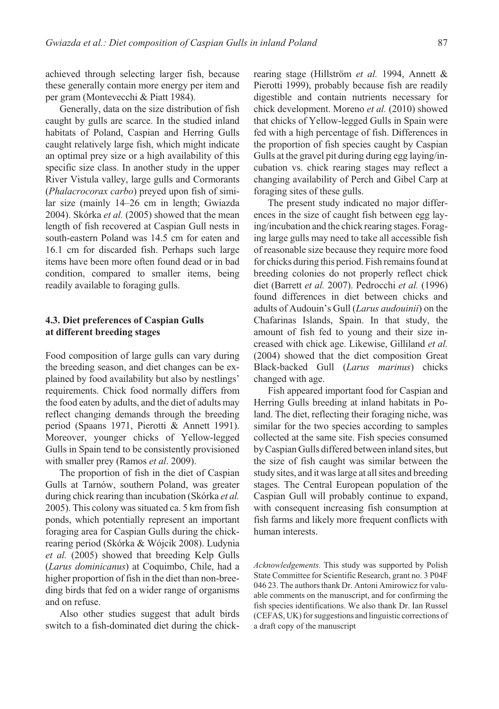achieved through selecting larger fish, because these generally contain more energy per item and per gram (Montevecchi & Piatt 1984).

Generally, data on the size distribution of fish caught by gulls are scarce. In the studied inland habitats of Poland, Caspian and Herring Gulls caught relatively large fish, which might indicate an optimal prey size or a high availability of this specific size class. In another study in the upper River Vistula valley, large gulls and Cormorants (*Phalacrocorax carbo*) preved upon fish of similar size (mainly 14-26 cm in length; Gwiazda 2004). Skórka et al. (2005) showed that the mean length of fish recovered at Caspian Gull nests in south-eastern Poland was 14.5 cm for eaten and 16.1 cm for discarded fish. Perhaps such large items have been more often found dead or in bad condition, compared to smaller items, being readily available to foraging gulls.

### 4.3. Diet preferences of Caspian Gulls at different breeding stages

Food composition of large gulls can vary during the breeding season, and diet changes can be explained by food availability but also by nestlings' requirements. Chick food normally differs from the food eaten by adults, and the diet of adults may reflect changing demands through the breeding period (Spaans 1971, Pierotti & Annett 1991). Moreover, younger chicks of Yellow-legged Gulls in Spain tend to be consistently provisioned with smaller prey (Ramos et al. 2009).

The proportion of fish in the diet of Caspian Gulls at Tarnów, southern Poland, was greater during chick rearing than incubation (Skórka et al. 2005). This colony was situated ca. 5 km from fish ponds, which potentially represent an important foraging area for Caspian Gulls during the chickrearing period (Skórka & Wójcik 2008). Ludynia et al. (2005) showed that breeding Kelp Gulls (Larus dominicanus) at Coquimbo, Chile, had a higher proportion of fish in the diet than non-breeding birds that fed on a wider range of organisms and on refuse.

Also other studies suggest that adult birds switch to a fish-dominated diet during the chickrearing stage (Hillström et al. 1994, Annett & Pierotti 1999), probably because fish are readily digestible and contain nutrients necessary for chick development. Moreno et al. (2010) showed that chicks of Yellow-legged Gulls in Spain were fed with a high percentage of fish. Differences in the proportion of fish species caught by Caspian Gulls at the gravel pit during during egg laying/incubation vs. chick rearing stages may reflect a changing availability of Perch and Gibel Carp at foraging sites of these gulls.

The present study indicated no major differences in the size of caught fish between egg laying/incubation and the chick rearing stages. Foraging large gulls may need to take all accessible fish of reasonable size because they require more food for chicks during this period. Fish remains found at breeding colonies do not properly reflect chick diet (Barrett et al. 2007). Pedrocchi et al. (1996) found differences in diet between chicks and adults of Audouin's Gull (Larus audouinii) on the Chafarinas Islands, Spain. In that study, the amount of fish fed to young and their size increased with chick age. Likewise, Gilliland et al. (2004) showed that the diet composition Great Black-backed Gull (Larus marinus) chicks changed with age.

Fish appeared important food for Caspian and Herring Gulls breeding at inland habitats in Poland. The diet, reflecting their foraging niche, was similar for the two species according to samples collected at the same site. Fish species consumed by Caspian Gulls differed between inland sites, but the size of fish caught was similar between the study sites, and it was large at all sites and breeding stages. The Central European population of the Caspian Gull will probably continue to expand, with consequent increasing fish consumption at fish farms and likely more frequent conflicts with human interests.

Acknowledgements. This study was supported by Polish State Committee for Scientific Research, grant no. 3 P04F 046 23. The authors thank Dr. Antoni Amirowicz for valuable comments on the manuscript, and for confirming the fish species identifications. We also thank Dr. Ian Russel (CEFAS, UK) for suggestions and linguistic corrections of a draft copy of the manuscript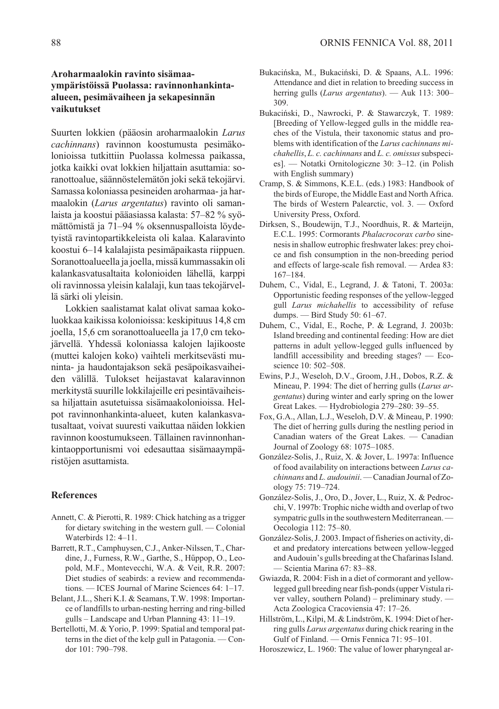## Aroharmaalokin ravinto sisämaavmpäristöissä Puolassa: ravinnonhankintaalueen, pesimävaiheen ja sekapesinnän vaikutukset

Suurten lokkien (pääosin aroharmaalokin Larus cachinnans) ravinnon koostumusta pesimäkolonioissa tutkittiin Puolassa kolmessa paikassa. jotka kaikki ovat lokkien hiljattain asuttamia: soranottoalue, säännöstelemätön joki sekä tekojärvi. Samassa koloniassa pesineiden aroharmaa- ja harmaalokin (Larus argentatus) ravinto oli samanlaista ja koostui pääasiassa kalasta: 57–82 % syömättömistä ja 71–94 % oksennuspalloista lövdetyistä ravintopartikkeleista oli kalaa. Kalaravinto koostui 6–14 kalalajista pesimäpaikasta riippuen. Soranottoalueella ja joella, missä kummassakin oli kalankasvatusaltaita kolonioiden lähellä, karppi oli ravinnossa yleisin kalalaji, kun taas tekojärvellä särki oli yleisin.

Lokkien saalistamat kalat olivat samaa kokoluokkaa kaikissa kolonioissa: keskipituus 14,8 cm joella, 15,6 cm soranottoalueella ja 17,0 cm tekojärvellä. Yhdessä koloniassa kalojen lajikooste (muttei kalojen koko) vaihteli merkitsevästi muninta- ja haudontajakson sekä pesäpoikasvaiheiden välillä. Tulokset heijastavat kalaravinnon merkitystä suurille lokkilajeille eri pesintävaiheissa hiljattain asutetuissa sisämaakolonioissa. Helpot ravinnonhankinta-alueet, kuten kalankasvatusaltaat, voivat suuresti vaikuttaa näiden lokkien ravinnon koostumukseen. Tällainen ravinnonhankintaopportunismi voi edesauttaa sisämaaympäristöjen asuttamista.

#### **References**

- Annett, C. & Pierotti, R. 1989: Chick hatching as a trigger for dietary switching in the western gull. - Colonial Waterbirds 12: 4-11.
- Barrett, R.T., Camphuysen, C.J., Anker-Nilssen, T., Chardine, J., Furness, R.W., Garthe, S., Hűppop, O., Leopold, M.F., Montevecchi, W.A. & Veit, R.R. 2007: Diet studies of seabirds: a review and recommendations. — ICES Journal of Marine Sciences  $64:1-17$ .
- Belant, J.L., Sheri K.I. & Seamans, T.W. 1998: Importance of landfills to urban-nesting herring and ring-billed  $gulls - Landscape$  and Urban Planning 43: 11–19.
- Bertellotti, M. & Yorio, P. 1999: Spatial and temporal patterns in the diet of the kelp gull in Patagonia. — Condor 101: 790-798.
- Bukacińska, M., Bukaciński, D. & Spaans, A.L. 1996: Attendance and diet in relation to breeding success in herring gulls (Larus argentatus). - Auk 113: 300-309
- Bukaciński, D., Nawrocki, P. & Stawarczyk, T. 1989: [Breeding of Yellow-legged gulls in the middle reaches of the Vistula, their taxonomic status and problems with identification of the Larus cachinnans michahellis, L. c. cachinnans and L. c. omissus subspecies]. — Notatki Ornitologiczne 30: 3-12. (in Polish with English summary)
- Cramp, S. & Simmons, K.E.L. (eds.) 1983: Handbook of the birds of Europe, the Middle East and North Africa. The birds of Western Palearctic, vol. 3. - Oxford University Press, Oxford.
- Dirksen, S., Boudewijn, T.J., Noordhuis, R. & Marteijn, E.C.L. 1995: Cormorants Phalacrocorax carbo sinenesis in shallow eutrophic freshwater lakes: prey choice and fish consumption in the non-breeding period and effects of large-scale fish removal. - Ardea 83:  $167 - 184$ .
- Duhem, C., Vidal, E., Legrand, J. & Tatoni, T. 2003a: Opportunistic feeding responses of the yellow-legged gull Larus michahellis to accessibility of refuse dumps. - Bird Study 50: 61-67.
- Duhem, C., Vidal, E., Roche, P. & Legrand, J. 2003b: Island breeding and continental feeding: How are diet patterns in adult yellow-legged gulls influenced by landfill accessibility and breeding stages? - Ecoscience 10: 502-508.
- Ewins, P.J., Weseloh, D.V., Groom, J.H., Dobos, R.Z. & Mineau, P. 1994: The diet of herring gulls (Larus ar*gentatus*) during winter and early spring on the lower Great Lakes. — Hydrobiologia 279–280: 39–55.
- Fox, G.A., Allan, L.J., Weseloh, D.V. & Mineau, P. 1990: The diet of herring gulls during the nestling period in Canadian waters of the Great Lakes. - Canadian Journal of Zoology 68: 1075-1085.
- González-Solis, J., Ruiz, X. & Jover, L. 1997a: Influence of food availability on interactions between Larus cachinnans and L. audouinii. - Canadian Journal of Zoology 75: 719-724.
- González-Solis, J., Oro, D., Jover, L., Ruiz, X. & Pedrocchi, V. 1997b: Trophic niche width and overlap of two sympatric gulls in the southwestern Mediterranean. -Oecologia 112: 75-80.
- González-Solis, J. 2003. Impact of fisheries on activity, diet and predatory intercations between yellow-legged and Audouin's gulls breeding at the Chafarinas Island. - Scientia Marina 67: 83-88.
- Gwiazda, R. 2004: Fish in a diet of cormorant and yellowlegged gull breeding near fish-ponds (upper Vistula river valley, southern Poland) - preliminary study. -Acta Zoologica Cracoviensia 47: 17-26.
- Hillström, L., Kilpi, M. & Lindström, K. 1994: Diet of herring gulls Larus argentatus during chick rearing in the Gulf of Finland. - Ornis Fennica 71: 95-101.
- Horoszewicz, L. 1960: The value of lower pharyngeal ar-